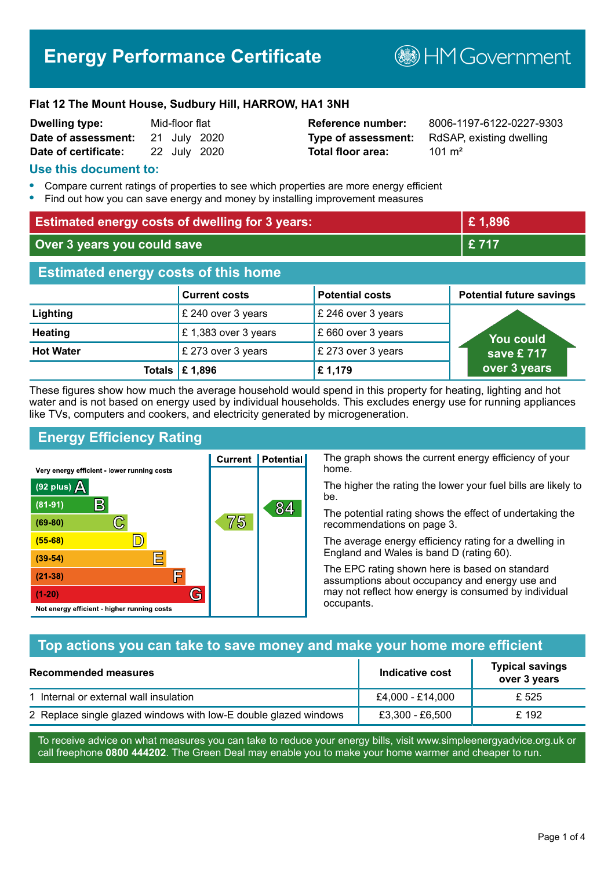# **Energy Performance Certificate**

**B**HMGovernment

#### **Flat 12 The Mount House, Sudbury Hill, HARROW, HA1 3NH**

| <b>Dwelling type:</b> | Mid-floor flat |              |
|-----------------------|----------------|--------------|
| Date of assessment:   |                | 21 July 2020 |
| Date of certificate:  |                | 22 July 2020 |

# **Total floor area:** 201 m<sup>2</sup>

**Reference number:** 8006-1197-6122-0227-9303 **Type of assessment:** RdSAP, existing dwelling

#### **Use this document to:**

- **•** Compare current ratings of properties to see which properties are more energy efficient
- **•** Find out how you can save energy and money by installing improvement measures

| <b>Estimated energy costs of dwelling for 3 years:</b> |                           | £1,896                 |                                 |
|--------------------------------------------------------|---------------------------|------------------------|---------------------------------|
| Over 3 years you could save                            |                           | £717                   |                                 |
| <b>Estimated energy costs of this home</b>             |                           |                        |                                 |
|                                                        | <b>Current costs</b>      | <b>Potential costs</b> | <b>Potential future savings</b> |
| Lighting                                               | £ 240 over 3 years        | £ 246 over 3 years     |                                 |
| <b>Heating</b>                                         | £1,383 over 3 years       | £660 over 3 years      | <b>You could</b>                |
| <b>Hot Water</b>                                       | £ 273 over 3 years        | £ 273 over 3 years     | save $£ 717$                    |
|                                                        | Totals $\mathsf{E}$ 1,896 | £1,179                 | over 3 years                    |

These figures show how much the average household would spend in this property for heating, lighting and hot water and is not based on energy used by individual households. This excludes energy use for running appliances like TVs, computers and cookers, and electricity generated by microgeneration.

**Current | Potential** 

75

# **Energy Efficiency Rating**

 $\mathbb{C}$ 

 $\mathbb{D}$ 

E

肩

G

Very energy efficient - lower running costs

R

Not energy efficient - higher running costs

(92 plus)  $\Delta$ 

 $(81 - 91)$ 

 $(69 - 80)$ 

 $(55-68)$  $(39-54)$ 

 $(21-38)$ 

 $(1-20)$ 

The graph shows the current energy efficiency of your home.

The higher the rating the lower your fuel bills are likely to be.

The potential rating shows the effect of undertaking the recommendations on page 3.

The average energy efficiency rating for a dwelling in England and Wales is band D (rating 60).

The EPC rating shown here is based on standard assumptions about occupancy and energy use and may not reflect how energy is consumed by individual occupants.

#### **Top actions you can take to save money and make your home more efficient**

84

| <b>Recommended measures</b>                                      | Indicative cost  | <b>Typical savings</b><br>over 3 years |
|------------------------------------------------------------------|------------------|----------------------------------------|
| 1 Internal or external wall insulation                           | £4,000 - £14,000 | £ 525                                  |
| 2 Replace single glazed windows with low-E double glazed windows | £3,300 - £6,500  | £ 192                                  |

To receive advice on what measures you can take to reduce your energy bills, visit www.simpleenergyadvice.org.uk or call freephone **0800 444202**. The Green Deal may enable you to make your home warmer and cheaper to run.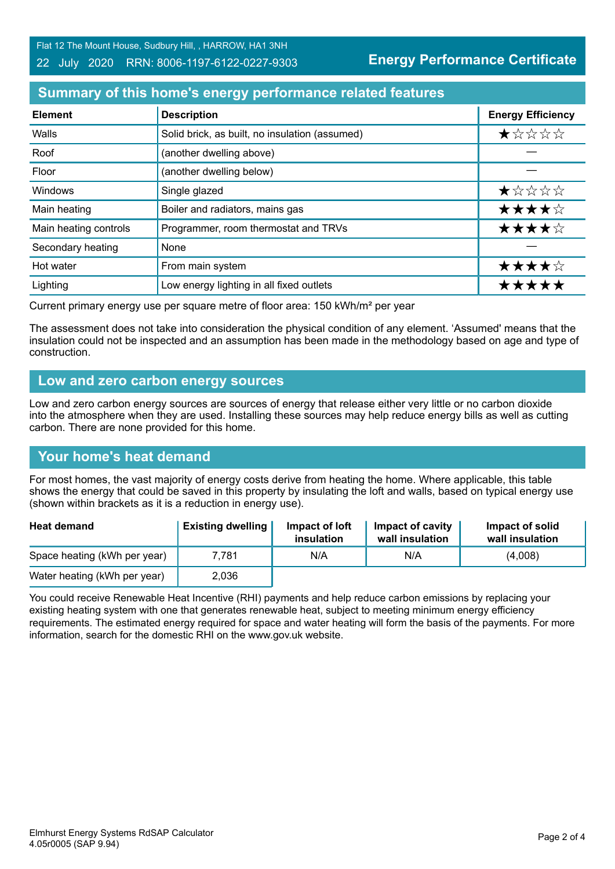#### 22 July 2020 RRN: 8006-1197-6122-0227-9303

**Energy Performance Certificate**

## **Summary of this home's energy performance related features**

| <b>Element</b>        | <b>Description</b>                             | <b>Energy Efficiency</b> |
|-----------------------|------------------------------------------------|--------------------------|
| Walls                 | Solid brick, as built, no insulation (assumed) | $\star$ * * * *          |
| Roof                  | (another dwelling above)                       |                          |
| Floor                 | (another dwelling below)                       |                          |
| Windows               | Single glazed                                  | ★☆☆☆☆                    |
| Main heating          | Boiler and radiators, mains gas                | ★★★★☆                    |
| Main heating controls | Programmer, room thermostat and TRVs           | ★★★★☆                    |
| Secondary heating     | None                                           |                          |
| Hot water             | From main system                               | ★★★★☆                    |
| Lighting              | Low energy lighting in all fixed outlets       | *****                    |

Current primary energy use per square metre of floor area: 150 kWh/m² per year

The assessment does not take into consideration the physical condition of any element. 'Assumed' means that the insulation could not be inspected and an assumption has been made in the methodology based on age and type of construction.

#### **Low and zero carbon energy sources**

Low and zero carbon energy sources are sources of energy that release either very little or no carbon dioxide into the atmosphere when they are used. Installing these sources may help reduce energy bills as well as cutting carbon. There are none provided for this home.

#### **Your home's heat demand**

For most homes, the vast majority of energy costs derive from heating the home. Where applicable, this table shows the energy that could be saved in this property by insulating the loft and walls, based on typical energy use (shown within brackets as it is a reduction in energy use).

| <b>Heat demand</b>           | <b>Existing dwelling</b> | Impact of loft<br>insulation | Impact of cavity<br>wall insulation | Impact of solid<br>wall insulation |
|------------------------------|--------------------------|------------------------------|-------------------------------------|------------------------------------|
| Space heating (kWh per year) | 7.781                    | N/A                          | N/A                                 | (4,008)                            |
| Water heating (kWh per year) | 2,036                    |                              |                                     |                                    |

You could receive Renewable Heat Incentive (RHI) payments and help reduce carbon emissions by replacing your existing heating system with one that generates renewable heat, subject to meeting minimum energy efficiency requirements. The estimated energy required for space and water heating will form the basis of the payments. For more information, search for the domestic RHI on the www.gov.uk website.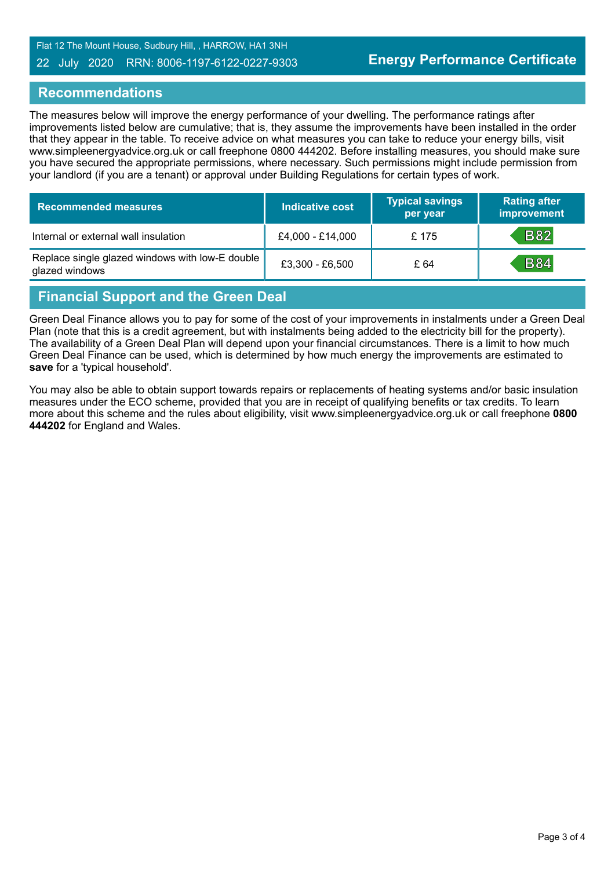Flat 12 The Mount House, Sudbury Hill, , HARROW, HA1 3NH

#### 22 July 2020 RRN: 8006-1197-6122-0227-9303

#### **Recommendations**

The measures below will improve the energy performance of your dwelling. The performance ratings after improvements listed below are cumulative; that is, they assume the improvements have been installed in the order that they appear in the table. To receive advice on what measures you can take to reduce your energy bills, visit www.simpleenergyadvice.org.uk or call freephone 0800 444202. Before installing measures, you should make sure you have secured the appropriate permissions, where necessary. Such permissions might include permission from your landlord (if you are a tenant) or approval under Building Regulations for certain types of work.

| <b>Recommended measures</b>                                       | <b>Indicative cost</b> | <b>Typical savings</b><br>per year | <b>Rating after</b><br>improvement |
|-------------------------------------------------------------------|------------------------|------------------------------------|------------------------------------|
| Internal or external wall insulation                              | £4,000 - £14,000       | £ 175                              | <b>B82</b>                         |
| Replace single glazed windows with low-E double<br>glazed windows | £3,300 - £6,500        | £ 64                               | <b>B84</b>                         |

## **Financial Support and the Green Deal**

Green Deal Finance allows you to pay for some of the cost of your improvements in instalments under a Green Deal Plan (note that this is a credit agreement, but with instalments being added to the electricity bill for the property). The availability of a Green Deal Plan will depend upon your financial circumstances. There is a limit to how much Green Deal Finance can be used, which is determined by how much energy the improvements are estimated to **save** for a 'typical household'.

You may also be able to obtain support towards repairs or replacements of heating systems and/or basic insulation measures under the ECO scheme, provided that you are in receipt of qualifying benefits or tax credits. To learn more about this scheme and the rules about eligibility, visit www.simpleenergyadvice.org.uk or call freephone **0800 444202** for England and Wales.